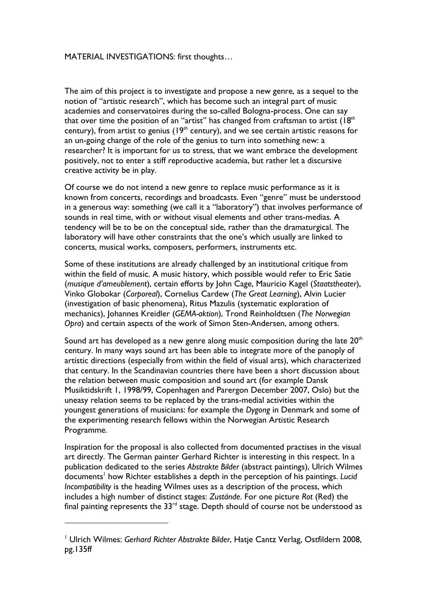## MATERIAL INVESTIGATIONS: first thoughts…

The aim of this project is to investigate and propose a new genre, as a sequel to the notion of "artistic research", which has become such an integral part of music academies and conservatoires during the so-called Bologna-process. One can say that over time the position of an "artist" has changed from craftsman to artist  $(18<sup>th</sup>$ century), from artist to genius ( $19<sup>th</sup>$  century), and we see certain artistic reasons for an un-going change of the role of the genius to turn into something new: a researcher? It is important for us to stress, that we want embrace the development positively, not to enter a stiff reproductive academia, but rather let a discursive creative activity be in play.

Of course we do not intend a new genre to replace music performance as it is known from concerts, recordings and broadcasts. Even "genre" must be understood in a generous way: something (we call it a "laboratory") that involves performance of sounds in real time, with or without visual elements and other trans-medias. A tendency will be to be on the conceptual side, rather than the dramaturgical. The laboratory will have other constraints that the one's which usually are linked to concerts, musical works, composers, performers, instruments etc.

Some of these institutions are already challenged by an institutional critique from within the field of music. A music history, which possible would refer to Eric Satie (*musique d'ameublement*), certain efforts by John Cage, Mauricio Kagel (*Staatstheater*), Vinko Globokar (*Corporeal*), Cornelius Cardew (*The Great Learning*), Alvin Lucier (investigation of basic phenomena), Ritus Mazulis (systematic exploration of mechanics), Johannes Kreidler (*GEMA-aktion*), Trond Reinholdtsen (*The Norwegian Opra*) and certain aspects of the work of Simon Sten-Andersen, among others.

Sound art has developed as a new genre along music composition during the late  $20<sup>th</sup>$ century. In many ways sound art has been able to integrate more of the panoply of artistic directions (especially from within the field of visual arts), which characterized that century. In the Scandinavian countries there have been a short discussion about the relation between music composition and sound art (for example Dansk Musiktidskrift 1, 1998/99, Copenhagen and Parergon December 2007, Oslo) but the uneasy relation seems to be replaced by the trans-medial activities within the youngest generations of musicians: for example the *Dygong* in Denmark and some of the experimenting research fellows within the Norwegian Artistic Research Programme.

Inspiration for the proposal is also collected from documented practises in the visual art directly. The German painter Gerhard Richter is interesting in this respect. In a publication dedicated to the series *Abstrakte Bilder* (abstract paintings), Ulrich Wilmes documents<sup>1</sup> how Richter establishes a depth in the perception of his paintings. *Lucid Incompatibility* is the heading Wilmes uses as a description of the process, which includes a high number of distinct stages: *Zustände*. For one picture *Rot* (Red) the final painting represents the  $33<sup>rd</sup>$  stage. Depth should of course not be understood as

 $\overline{a}$ 

<sup>1</sup> Ulrich Wilmes: *Gerhard Richter Abstrakte Bilder*, Hatje Cantz Verlag, Ostfildern 2008, pg.135ff